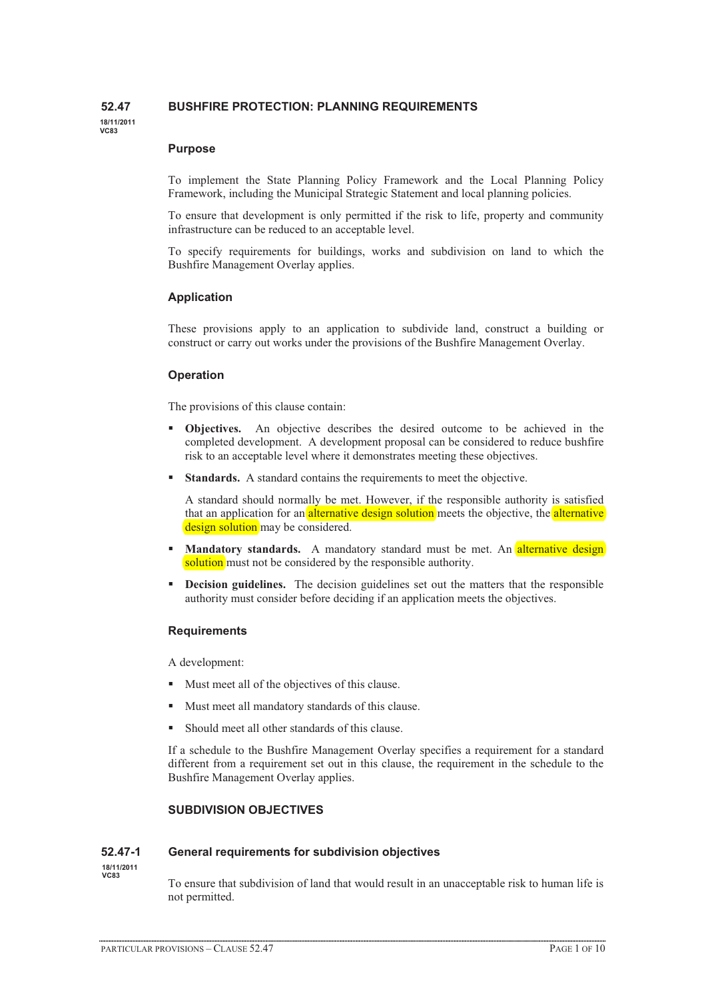# **52.47 BUSHFIRE PROTECTION: PLANNING REQUIREMENTS**

**18/11/2011 VC83**

#### **Purpose**

To implement the State Planning Policy Framework and the Local Planning Policy Framework, including the Municipal Strategic Statement and local planning policies.

To ensure that development is only permitted if the risk to life, property and community infrastructure can be reduced to an acceptable level.

To specify requirements for buildings, works and subdivision on land to which the Bushfire Management Overlay applies.

## **Application**

These provisions apply to an application to subdivide land, construct a building or construct or carry out works under the provisions of the Bushfire Management Overlay.

### **Operation**

The provisions of this clause contain:

- - **Objectives.** An objective describes the desired outcome to be achieved in the completed development. A development proposal can be considered to reduce bushfire risk to an acceptable level where it demonstrates meeting these objectives.
- -**Standards.** A standard contains the requirements to meet the objective.

A standard should normally be met. However, if the responsible authority is satisfied that an application for an **alternative design solution** meets the objective, the **alternative** design solution may be considered.

- -**Mandatory standards.** A mandatory standard must be met. An alternative design solution must not be considered by the responsible authority.
- - **Decision guidelines.** The decision guidelines set out the matters that the responsible authority must consider before deciding if an application meets the objectives.

### **Requirements**

A development:

- $\blacksquare$  Must meet all of the objectives of this clause.
- -Must meet all mandatory standards of this clause.
- -Should meet all other standards of this clause.

If a schedule to the Bushfire Management Overlay specifies a requirement for a standard different from a requirement set out in this clause, the requirement in the schedule to the Bushfire Management Overlay applies.

# **SUBDIVISION OBJECTIVES**

### **52.47-1 General requirements for subdivision objectives**

**18/11/2011 VC83**

To ensure that subdivision of land that would result in an unacceptable risk to human life is not permitted.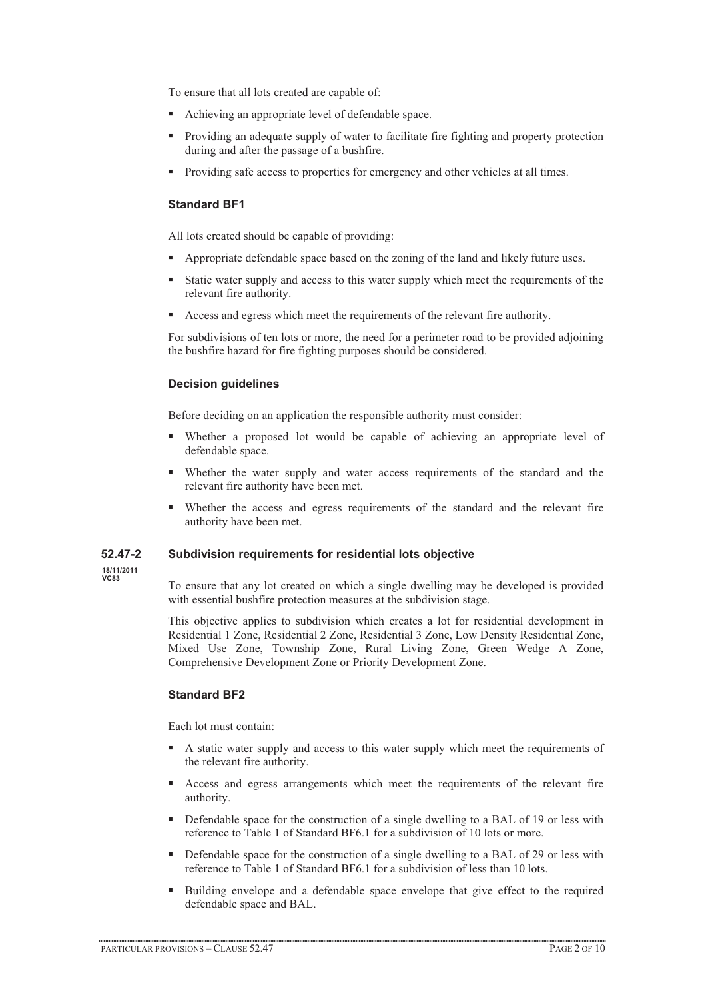To ensure that all lots created are capable of:

- **Achieving an appropriate level of defendable space.**
- Providing an adequate supply of water to facilitate fire fighting and property protection during and after the passage of a bushfire.
- Providing safe access to properties for emergency and other vehicles at all times.

### **Standard BF1**

All lots created should be capable of providing:

- Appropriate defendable space based on the zoning of the land and likely future uses.
- - Static water supply and access to this water supply which meet the requirements of the relevant fire authority.
- Access and egress which meet the requirements of the relevant fire authority.

For subdivisions of ten lots or more, the need for a perimeter road to be provided adjoining the bushfire hazard for fire fighting purposes should be considered.

#### **Decision guidelines**

Before deciding on an application the responsible authority must consider:

- - Whether a proposed lot would be capable of achieving an appropriate level of defendable space.
- - Whether the water supply and water access requirements of the standard and the relevant fire authority have been met.
- - Whether the access and egress requirements of the standard and the relevant fire authority have been met.

#### **52.47-2 Subdivision requirements for residential lots objective**

**18/11/2011 VC83**

To ensure that any lot created on which a single dwelling may be developed is provided with essential bushfire protection measures at the subdivision stage.

This objective applies to subdivision which creates a lot for residential development in Residential 1 Zone, Residential 2 Zone, Residential 3 Zone, Low Density Residential Zone, Mixed Use Zone, Township Zone, Rural Living Zone, Green Wedge A Zone, Comprehensive Development Zone or Priority Development Zone.

# **Standard BF2**

Each lot must contain:

- - A static water supply and access to this water supply which meet the requirements of the relevant fire authority.
- Access and egress arrangements which meet the requirements of the relevant fire authority.
- - Defendable space for the construction of a single dwelling to a BAL of 19 or less with reference to Table 1 of Standard BF6.1 for a subdivision of 10 lots or more.
- **•** Defendable space for the construction of a single dwelling to a BAL of 29 or less with reference to Table 1 of Standard BF6.1 for a subdivision of less than 10 lots.
- - Building envelope and a defendable space envelope that give effect to the required defendable space and BAL.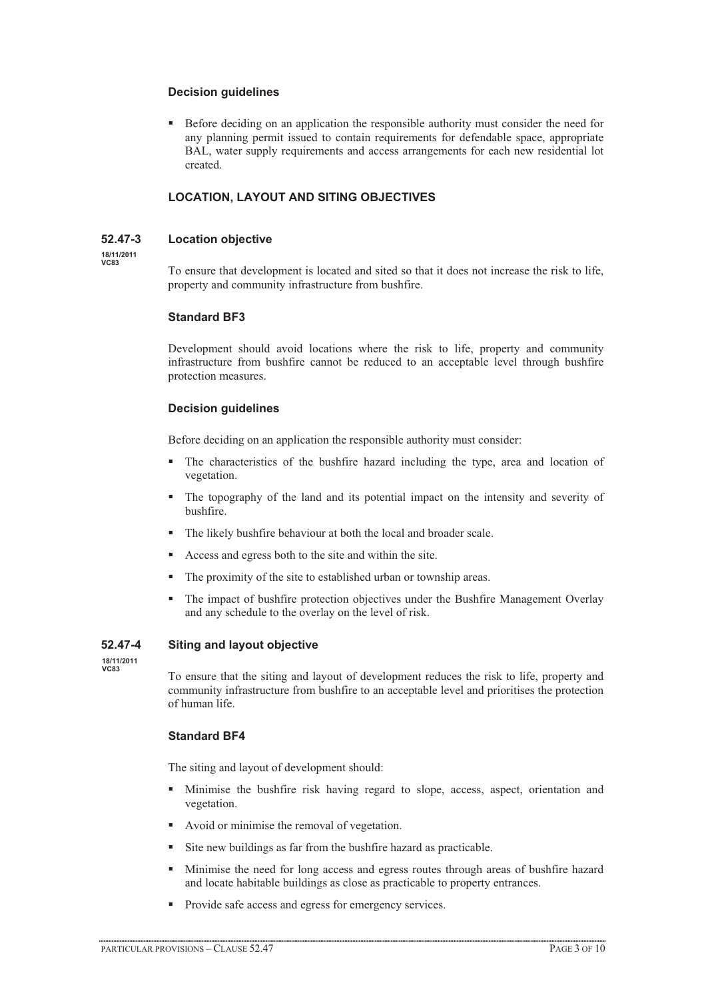### **Decision guidelines**

- Before deciding on an application the responsible authority must consider the need for any planning permit issued to contain requirements for defendable space, appropriate BAL, water supply requirements and access arrangements for each new residential lot created.

# **LOCATION, LAYOUT AND SITING OBJECTIVES**

## **52.47-3 Location objective**

**18/11/2011 VC83**

To ensure that development is located and sited so that it does not increase the risk to life, property and community infrastructure from bushfire.

## **Standard BF3**

Development should avoid locations where the risk to life, property and community infrastructure from bushfire cannot be reduced to an acceptable level through bushfire protection measures.

## **Decision guidelines**

Before deciding on an application the responsible authority must consider:

- - The characteristics of the bushfire hazard including the type, area and location of vegetation.
- - The topography of the land and its potential impact on the intensity and severity of bushfire.
- -The likely bushfire behaviour at both the local and broader scale.
- -Access and egress both to the site and within the site.
- -The proximity of the site to established urban or township areas.
- - The impact of bushfire protection objectives under the Bushfire Management Overlay and any schedule to the overlay on the level of risk.

### **52.47-4 Siting and layout objective**

**18/11/2011 VC83**

To ensure that the siting and layout of development reduces the risk to life, property and community infrastructure from bushfire to an acceptable level and prioritises the protection of human life.

# **Standard BF4**

The siting and layout of development should:

- - Minimise the bushfire risk having regard to slope, access, aspect, orientation and vegetation.
- Avoid or minimise the removal of vegetation.
- -Site new buildings as far from the bushfire hazard as practicable.
- - Minimise the need for long access and egress routes through areas of bushfire hazard and locate habitable buildings as close as practicable to property entrances.
- -Provide safe access and egress for emergency services.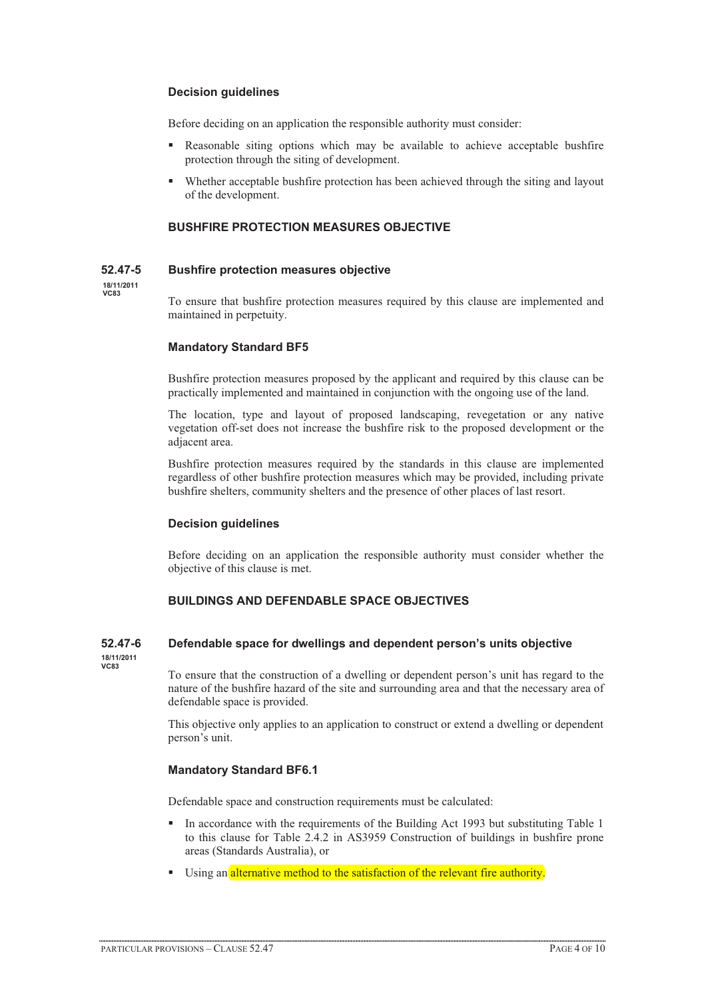### **Decision guidelines**

Before deciding on an application the responsible authority must consider:

- - Reasonable siting options which may be available to achieve acceptable bushfire protection through the siting of development.
- - Whether acceptable bushfire protection has been achieved through the siting and layout of the development.

# **BUSHFIRE PROTECTION MEASURES OBJECTIVE**

### **52.47-5 Bushfire protection measures objective**

**18/11/2011 VC83**

To ensure that bushfire protection measures required by this clause are implemented and maintained in perpetuity.

### **Mandatory Standard BF5**

Bushfire protection measures proposed by the applicant and required by this clause can be practically implemented and maintained in conjunction with the ongoing use of the land.

The location, type and layout of proposed landscaping, revegetation or any native vegetation off-set does not increase the bushfire risk to the proposed development or the adjacent area.

Bushfire protection measures required by the standards in this clause are implemented regardless of other bushfire protection measures which may be provided, including private bushfire shelters, community shelters and the presence of other places of last resort.

### **Decision guidelines**

Before deciding on an application the responsible authority must consider whether the objective of this clause is met.

# **BUILDINGS AND DEFENDABLE SPACE OBJECTIVES**

# **52.47-6 Defendable space for dwellings and dependent person's units objective**

**18/11/2011 VC83**

To ensure that the construction of a dwelling or dependent person's unit has regard to the nature of the bushfire hazard of the site and surrounding area and that the necessary area of defendable space is provided.

This objective only applies to an application to construct or extend a dwelling or dependent person's unit.

### **Mandatory Standard BF6.1**

Defendable space and construction requirements must be calculated:

- - In accordance with the requirements of the Building Act 1993 but substituting Table 1 to this clause for Table 2.4.2 in AS3959 Construction of buildings in bushfire prone areas (Standards Australia), or
- Using an alternative method to the satisfaction of the relevant fire authority.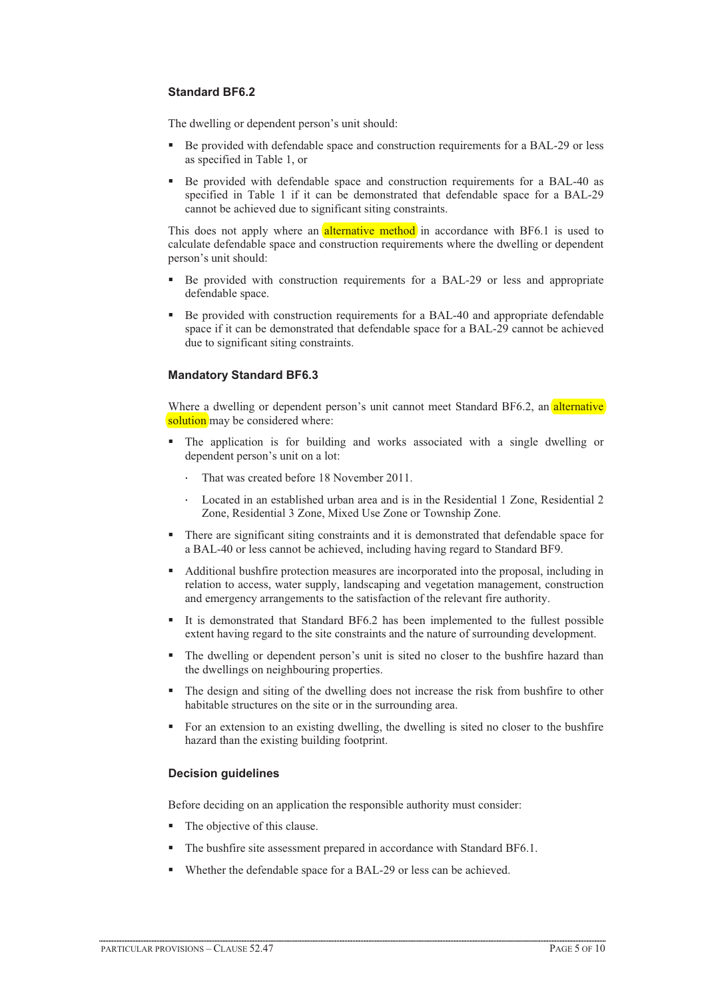# **Standard BF6.2**

The dwelling or dependent person's unit should:

- - Be provided with defendable space and construction requirements for a BAL-29 or less as specified in Table 1, or
- - Be provided with defendable space and construction requirements for a BAL-40 as specified in Table 1 if it can be demonstrated that defendable space for a BAL-29 cannot be achieved due to significant siting constraints.

This does not apply where an *alternative method* in accordance with BF6.1 is used to calculate defendable space and construction requirements where the dwelling or dependent person's unit should:

- - Be provided with construction requirements for a BAL-29 or less and appropriate defendable space.
- - Be provided with construction requirements for a BAL-40 and appropriate defendable space if it can be demonstrated that defendable space for a BAL-29 cannot be achieved due to significant siting constraints.

### **Mandatory Standard BF6.3**

Where a dwelling or dependent person's unit cannot meet Standard BF6.2, an alternative solution may be considered where:

- The application is for building and works associated with a single dwelling or dependent person's unit on a lot:
	- That was created before 18 November 2011.
	- Located in an established urban area and is in the Residential 1 Zone, Residential 2 Zone, Residential 3 Zone, Mixed Use Zone or Township Zone.
- There are significant siting constraints and it is demonstrated that defendable space for a BAL-40 or less cannot be achieved, including having regard to Standard BF9.
- Additional bushfire protection measures are incorporated into the proposal, including in relation to access, water supply, landscaping and vegetation management, construction and emergency arrangements to the satisfaction of the relevant fire authority.
- - It is demonstrated that Standard BF6.2 has been implemented to the fullest possible extent having regard to the site constraints and the nature of surrounding development.
- - The dwelling or dependent person's unit is sited no closer to the bushfire hazard than the dwellings on neighbouring properties.
- - The design and siting of the dwelling does not increase the risk from bushfire to other habitable structures on the site or in the surrounding area.
- - For an extension to an existing dwelling, the dwelling is sited no closer to the bushfire hazard than the existing building footprint.

### **Decision guidelines**

Before deciding on an application the responsible authority must consider:

- The objective of this clause.
- The bushfire site assessment prepared in accordance with Standard BF6.1.
- Whether the defendable space for a BAL-29 or less can be achieved.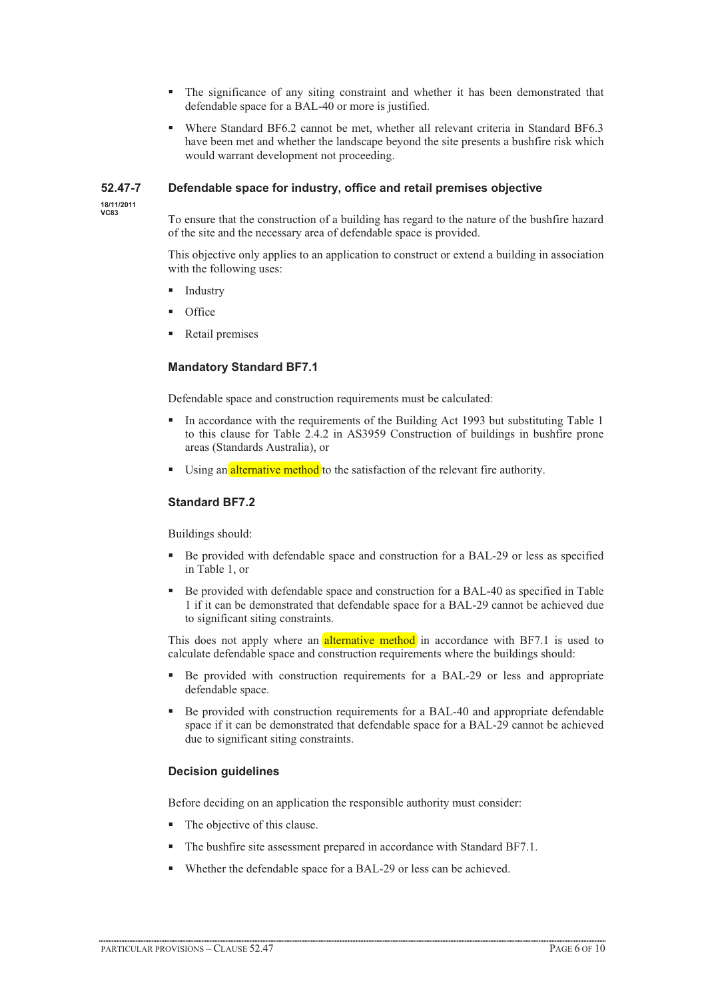- - The significance of any siting constraint and whether it has been demonstrated that defendable space for a BAL-40 or more is justified.
- Where Standard BF6.2 cannot be met, whether all relevant criteria in Standard BF6.3 have been met and whether the landscape beyond the site presents a bushfire risk which would warrant development not proceeding.

### **52.47-7 Defendable space for industry, office and retail premises objective**

**18/11/2011 VC83**

To ensure that the construction of a building has regard to the nature of the bushfire hazard of the site and the necessary area of defendable space is provided.

This objective only applies to an application to construct or extend a building in association with the following uses:

- -Industry
- -**Office**
- -Retail premises

### **Mandatory Standard BF7.1**

Defendable space and construction requirements must be calculated:

- - In accordance with the requirements of the Building Act 1993 but substituting Table 1 to this clause for Table 2.4.2 in AS3959 Construction of buildings in bushfire prone areas (Standards Australia), or
- Using an alternative method to the satisfaction of the relevant fire authority.

### **Standard BF7.2**

Buildings should:

- - Be provided with defendable space and construction for a BAL-29 or less as specified in Table 1, or
- - Be provided with defendable space and construction for a BAL-40 as specified in Table 1 if it can be demonstrated that defendable space for a BAL-29 cannot be achieved due to significant siting constraints.

This does not apply where an **alternative method** in accordance with BF7.1 is used to calculate defendable space and construction requirements where the buildings should:

- - Be provided with construction requirements for a BAL-29 or less and appropriate defendable space.
- - Be provided with construction requirements for a BAL-40 and appropriate defendable space if it can be demonstrated that defendable space for a BAL-29 cannot be achieved due to significant siting constraints.

### **Decision guidelines**

Before deciding on an application the responsible authority must consider:

- The objective of this clause.
- The bushfire site assessment prepared in accordance with Standard BF7.1.
- Whether the defendable space for a BAL-29 or less can be achieved.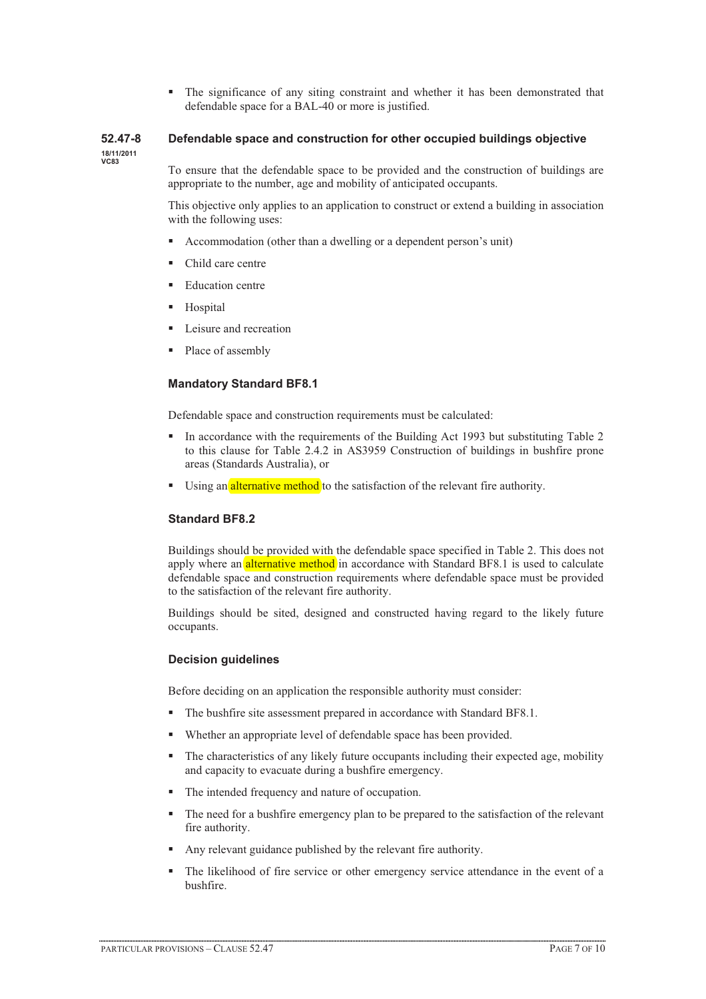- The significance of any siting constraint and whether it has been demonstrated that defendable space for a BAL-40 or more is justified.

# **52.47-8 Defendable space and construction for other occupied buildings objective**

**18/11/2011 VC83**

To ensure that the defendable space to be provided and the construction of buildings are appropriate to the number, age and mobility of anticipated occupants.

This objective only applies to an application to construct or extend a building in association with the following uses:

- -Accommodation (other than a dwelling or a dependent person's unit)
- -Child care centre
- -Education centre
- Hospital
- -Leisure and recreation
- -Place of assembly

# **Mandatory Standard BF8.1**

Defendable space and construction requirements must be calculated:

- - In accordance with the requirements of the Building Act 1993 but substituting Table 2 to this clause for Table 2.4.2 in AS3959 Construction of buildings in bushfire prone areas (Standards Australia), or
- Using an alternative method to the satisfaction of the relevant fire authority.

# **Standard BF8.2**

Buildings should be provided with the defendable space specified in Table 2. This does not apply where an alternative method in accordance with Standard BF8.1 is used to calculate defendable space and construction requirements where defendable space must be provided to the satisfaction of the relevant fire authority.

Buildings should be sited, designed and constructed having regard to the likely future occupants.

### **Decision guidelines**

Before deciding on an application the responsible authority must consider:

- The bushfire site assessment prepared in accordance with Standard BF8.1.
- -Whether an appropriate level of defendable space has been provided.
- - The characteristics of any likely future occupants including their expected age, mobility and capacity to evacuate during a bushfire emergency.
- -The intended frequency and nature of occupation.
- - The need for a bushfire emergency plan to be prepared to the satisfaction of the relevant fire authority.
- -Any relevant guidance published by the relevant fire authority.
- - The likelihood of fire service or other emergency service attendance in the event of a bushfire.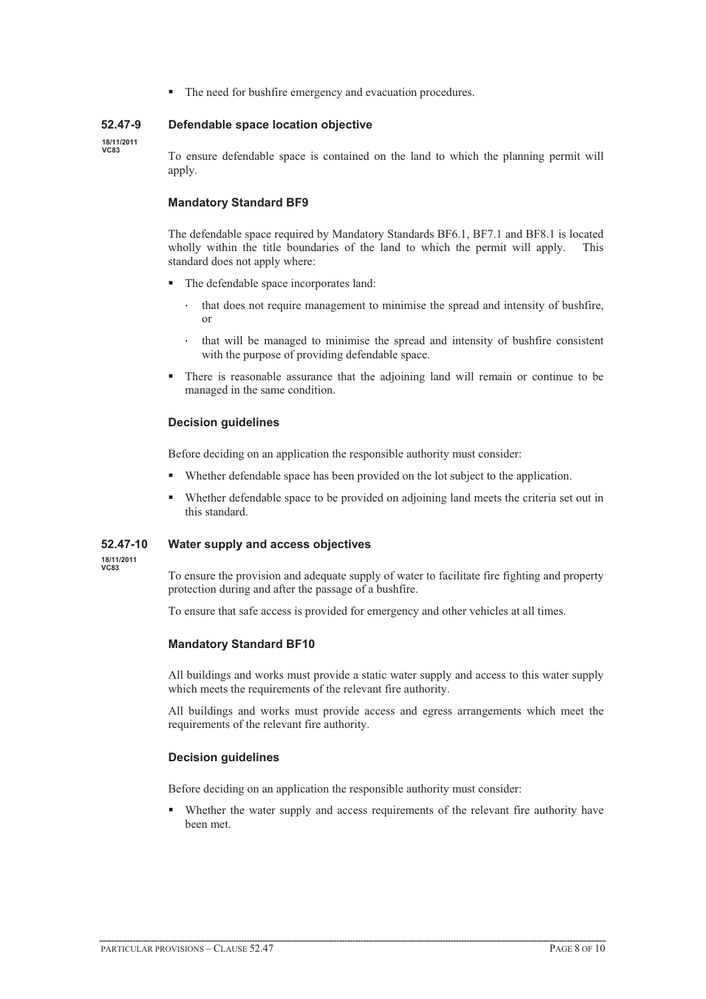$\blacksquare$  The need for bushfire emergency and evacuation procedures.

### **52.47-9 Defendable space location objective**

**18/11/2011 VC83**

To ensure defendable space is contained on the land to which the planning permit will apply.

## **Mandatory Standard BF9**

The defendable space required by Mandatory Standards BF6.1, BF7.1 and BF8.1 is located wholly within the title boundaries of the land to which the permit will apply. This standard does not apply where:

- The defendable space incorporates land:
	- that does not require management to minimise the spread and intensity of bushfire, or
	- that will be managed to minimise the spread and intensity of bushfire consistent with the purpose of providing defendable space.
- - There is reasonable assurance that the adjoining land will remain or continue to be managed in the same condition.

### **Decision guidelines**

Before deciding on an application the responsible authority must consider:

- -Whether defendable space has been provided on the lot subject to the application.
- - Whether defendable space to be provided on adjoining land meets the criteria set out in this standard.

### **52.47-10 Water supply and access objectives**

**18/11/2011 VC83**

To ensure the provision and adequate supply of water to facilitate fire fighting and property protection during and after the passage of a bushfire.

To ensure that safe access is provided for emergency and other vehicles at all times.

### **Mandatory Standard BF10**

All buildings and works must provide a static water supply and access to this water supply which meets the requirements of the relevant fire authority.

All buildings and works must provide access and egress arrangements which meet the requirements of the relevant fire authority.

### **Decision guidelines**

Before deciding on an application the responsible authority must consider:

- Whether the water supply and access requirements of the relevant fire authority have been met.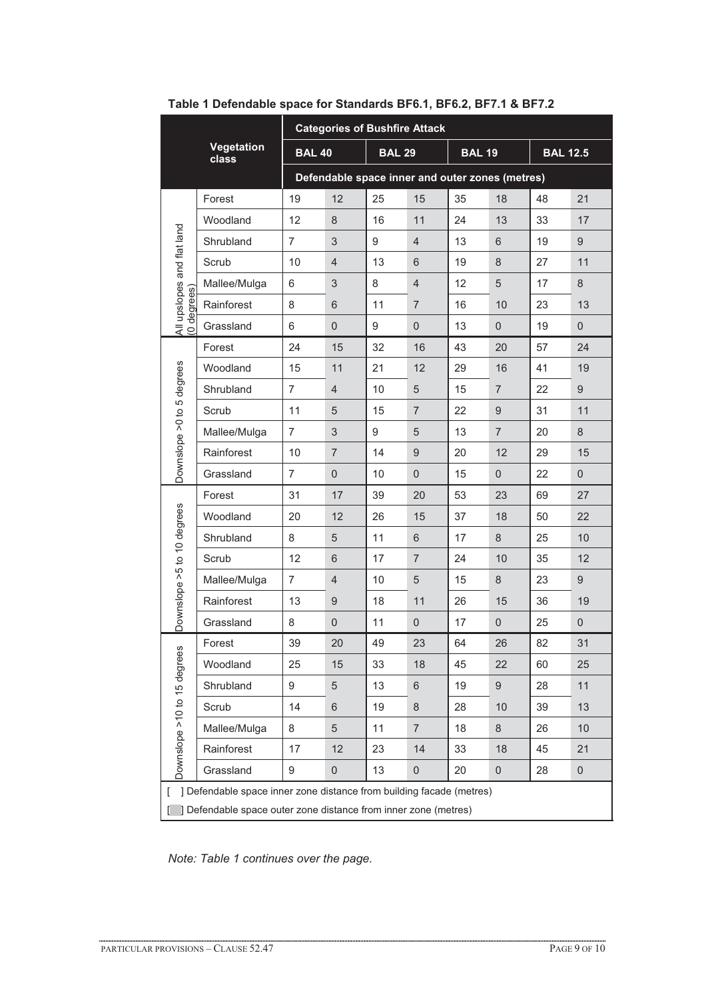|                                                                           |                     | <b>Categories of Bushfire Attack</b>            |                  |               |                  |               |                |                 |                  |  |
|---------------------------------------------------------------------------|---------------------|-------------------------------------------------|------------------|---------------|------------------|---------------|----------------|-----------------|------------------|--|
|                                                                           | Vegetation<br>class | <b>BAL 40</b>                                   |                  | <b>BAL 29</b> |                  | <b>BAL 19</b> |                | <b>BAL 12.5</b> |                  |  |
|                                                                           |                     | Defendable space inner and outer zones (metres) |                  |               |                  |               |                |                 |                  |  |
| All upslopes and flat land                                                | Forest              | 19                                              | 12               | 25            | 15               | 35            | 18             | 48              | 21               |  |
|                                                                           | Woodland            | 12                                              | 8                | 16            | 11               | 24            | 13             | 33              | 17               |  |
|                                                                           | Shrubland           | $\overline{7}$                                  | $\sqrt{3}$       | 9             | $\overline{4}$   | 13            | 6              | 19              | 9                |  |
|                                                                           | Scrub               | 10                                              | $\overline{4}$   | 13            | 6                | 19            | 8              | 27              | 11               |  |
|                                                                           | Mallee/Mulga        | 6                                               | 3                | 8             | $\overline{4}$   | 12            | 5              | 17              | 8                |  |
| (0 degrees)                                                               | Rainforest          | 8                                               | $6\phantom{1}$   | 11            | $\overline{7}$   | 16            | 10             | 23              | 13               |  |
|                                                                           | Grassland           | 6                                               | $\overline{0}$   | 9             | $\overline{0}$   | 13            | $\overline{0}$ | 19              | $\overline{0}$   |  |
|                                                                           | Forest              | 24                                              | 15               | 32            | 16               | 43            | 20             | 57              | 24               |  |
|                                                                           | Woodland            | 15                                              | 11               | 21            | 12               | 29            | 16             | 41              | 19               |  |
| Downslope > 0 to 5 degrees                                                | Shrubland           | $\overline{7}$                                  | $\overline{4}$   | 10            | 5                | 15            | $\overline{7}$ | 22              | $\boldsymbol{9}$ |  |
|                                                                           | Scrub               | 11                                              | 5                | 15            | $\overline{7}$   | 22            | 9              | 31              | 11               |  |
|                                                                           | Mallee/Mulga        | $\overline{7}$                                  | 3                | 9             | 5                | 13            | $\overline{7}$ | 20              | 8                |  |
|                                                                           | Rainforest          | 10                                              | $\overline{7}$   | 14            | $9\,$            | 20            | 12             | 29              | 15               |  |
|                                                                           | Grassland           | 7                                               | $\overline{0}$   | 10            | $\overline{0}$   | 15            | $\overline{0}$ | 22              | $\overline{0}$   |  |
|                                                                           | Forest              | 31                                              | 17               | 39            | 20               | 53            | 23             | 69              | 27               |  |
|                                                                           | Woodland            | 20                                              | 12               | 26            | 15               | 37            | 18             | 50              | 22               |  |
| Downslope >5 to 10 degrees                                                | Shrubland           | 8                                               | 5                | 11            | 6                | 17            | 8              | 25              | 10               |  |
|                                                                           | Scrub               | 12                                              | 6                | 17            | $\overline{7}$   | 24            | 10             | 35              | 12               |  |
|                                                                           | Mallee/Mulga        | $\overline{7}$                                  | $\overline{4}$   | 10            | 5                | 15            | 8              | 23              | 9                |  |
|                                                                           | Rainforest          | 13                                              | $9\,$            | 18            | 11               | 26            | 15             | 36              | 19               |  |
|                                                                           | Grassland           | 8                                               | $\boldsymbol{0}$ | 11            | $\boldsymbol{0}$ | 17            | $\mathbf 0$    | 25              | $\pmb{0}$        |  |
|                                                                           | Forest              | 39                                              | 20               | 49            | 23               | 64            | 26             | 82              | 31               |  |
|                                                                           | Woodland            | 25                                              | 15               | 33            | 18               | 45            | 22             | 60              | 25               |  |
|                                                                           | Shrubland           | 9                                               | 5                | 13            | 6                | 19            | 9              | 28              | 11               |  |
| Downslope >10 to 15 degrees                                               | Scrub               | 14                                              | 6                | 19            | 8                | 28            | 10             | 39              | 13               |  |
|                                                                           | Mallee/Mulga        | 8                                               | 5                | 11            | $\overline{7}$   | 18            | 8              | 26              | 10               |  |
|                                                                           | Rainforest          | 17                                              | 12               | 23            | 14               | 33            | 18             | 45              | 21               |  |
|                                                                           | Grassland           | 9                                               | $\mathbf 0$      | 13            | 0                | 20            | 0              | 28              | $\boldsymbol{0}$ |  |
| ] Defendable space inner zone distance from building facade (metres)<br>L |                     |                                                 |                  |               |                  |               |                |                 |                  |  |
| ] Defendable space outer zone distance from inner zone (metres)           |                     |                                                 |                  |               |                  |               |                |                 |                  |  |

**Table 1 Defendable space for Standards BF6.1, BF6.2, BF7.1 & BF7.2** 

*Note: Table 1 continues over the page.*